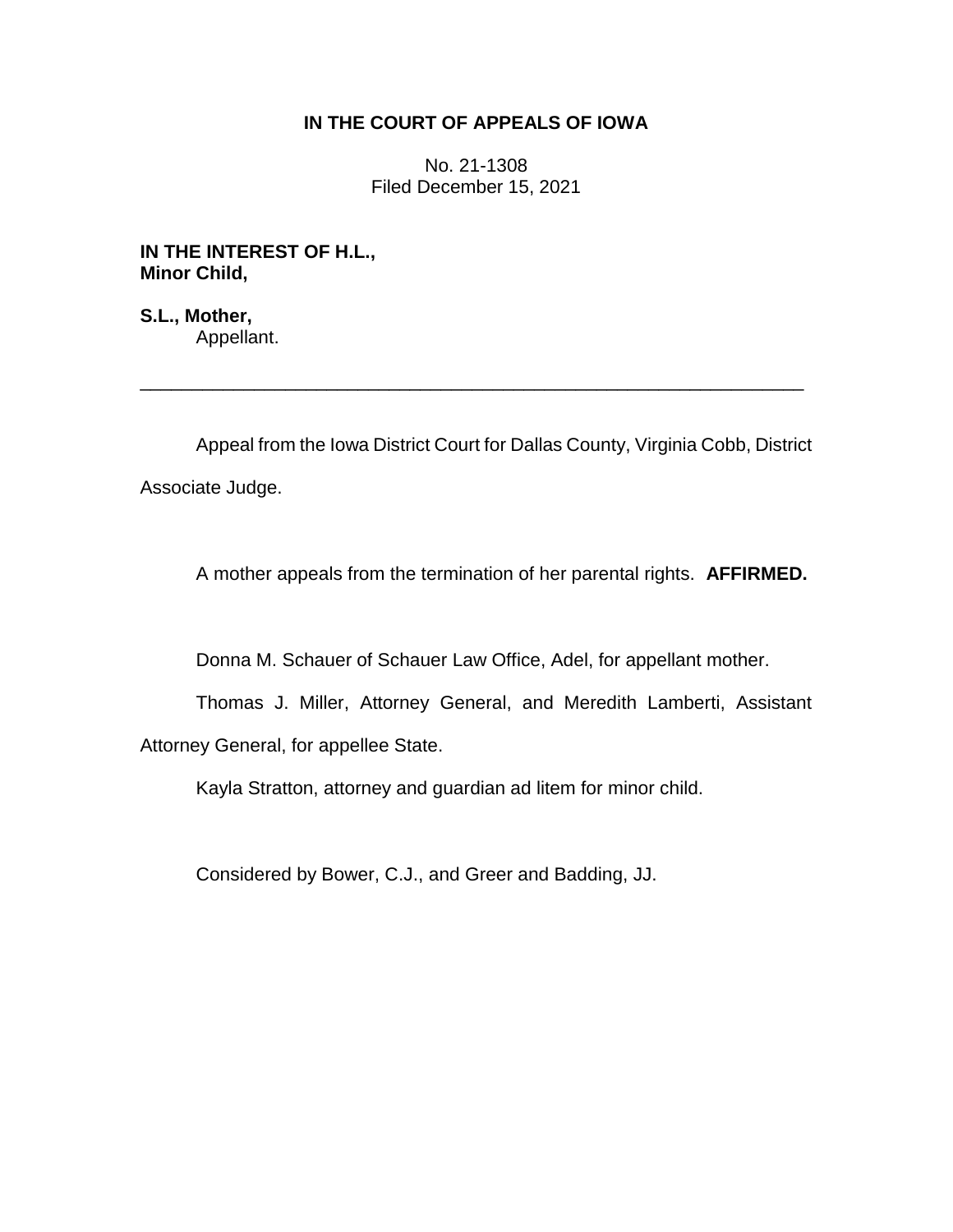# **IN THE COURT OF APPEALS OF IOWA**

No. 21-1308 Filed December 15, 2021

**IN THE INTEREST OF H.L., Minor Child,**

**S.L., Mother,** Appellant.

Appeal from the Iowa District Court for Dallas County, Virginia Cobb, District Associate Judge.

\_\_\_\_\_\_\_\_\_\_\_\_\_\_\_\_\_\_\_\_\_\_\_\_\_\_\_\_\_\_\_\_\_\_\_\_\_\_\_\_\_\_\_\_\_\_\_\_\_\_\_\_\_\_\_\_\_\_\_\_\_\_\_\_

A mother appeals from the termination of her parental rights. **AFFIRMED.**

Donna M. Schauer of Schauer Law Office, Adel, for appellant mother.

Thomas J. Miller, Attorney General, and Meredith Lamberti, Assistant Attorney General, for appellee State.

Kayla Stratton, attorney and guardian ad litem for minor child.

Considered by Bower, C.J., and Greer and Badding, JJ.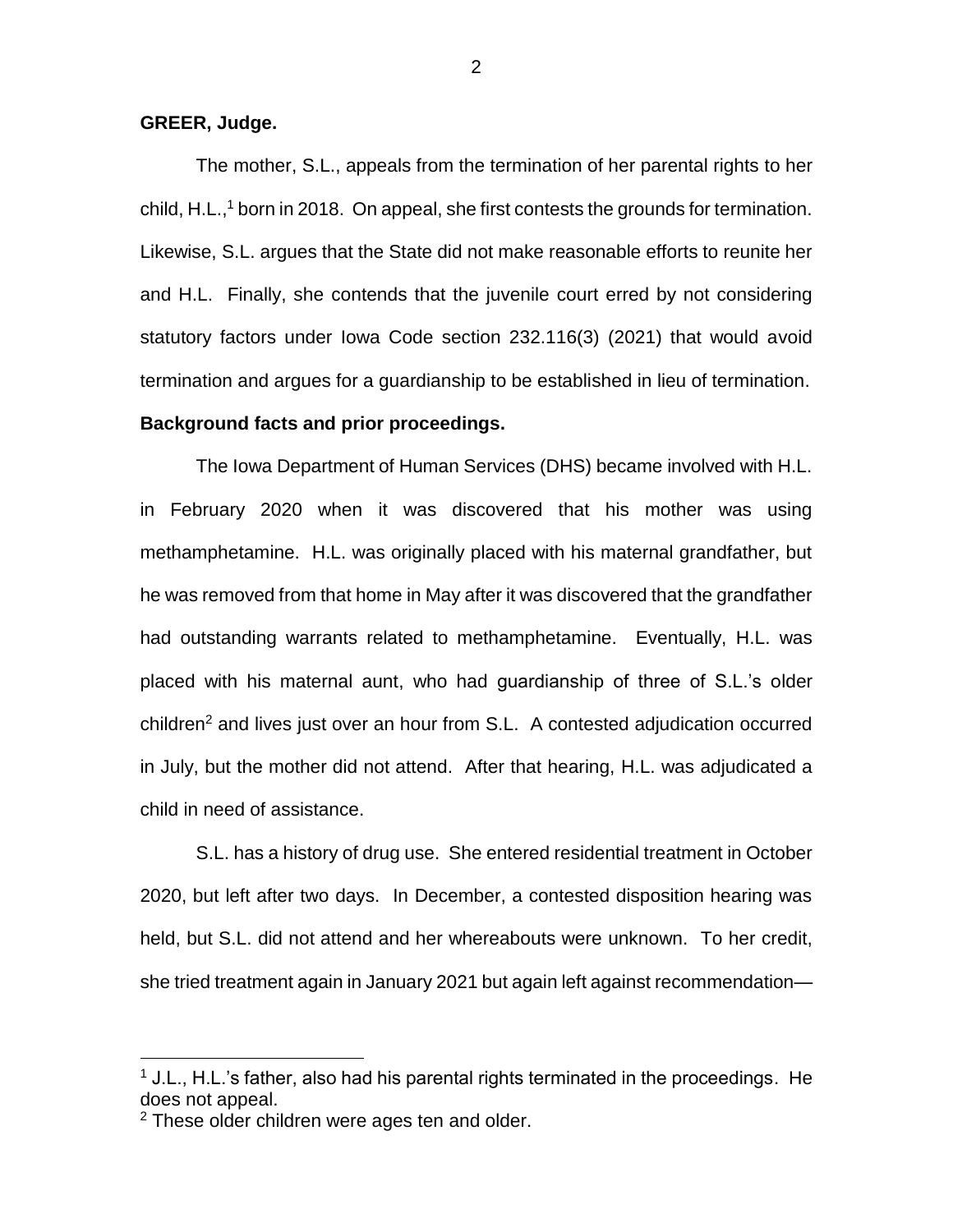## **GREER, Judge.**

The mother, S.L., appeals from the termination of her parental rights to her child, H.L., <sup>1</sup> born in 2018. On appeal, she first contests the grounds for termination. Likewise, S.L. argues that the State did not make reasonable efforts to reunite her and H.L. Finally, she contends that the juvenile court erred by not considering statutory factors under Iowa Code section 232.116(3) (2021) that would avoid termination and argues for a guardianship to be established in lieu of termination. **Background facts and prior proceedings.**

The Iowa Department of Human Services (DHS) became involved with H.L. in February 2020 when it was discovered that his mother was using methamphetamine. H.L. was originally placed with his maternal grandfather, but he was removed from that home in May after it was discovered that the grandfather had outstanding warrants related to methamphetamine. Eventually, H.L. was placed with his maternal aunt, who had guardianship of three of S.L.'s older children<sup>2</sup> and lives just over an hour from S.L. A contested adjudication occurred in July, but the mother did not attend. After that hearing, H.L. was adjudicated a child in need of assistance.

S.L. has a history of drug use. She entered residential treatment in October 2020, but left after two days. In December, a contested disposition hearing was held, but S.L. did not attend and her whereabouts were unknown. To her credit, she tried treatment again in January 2021 but again left against recommendation—

 $\overline{a}$ 

 $1$  J.L., H.L.'s father, also had his parental rights terminated in the proceedings. He does not appeal.

<sup>&</sup>lt;sup>2</sup> These older children were ages ten and older.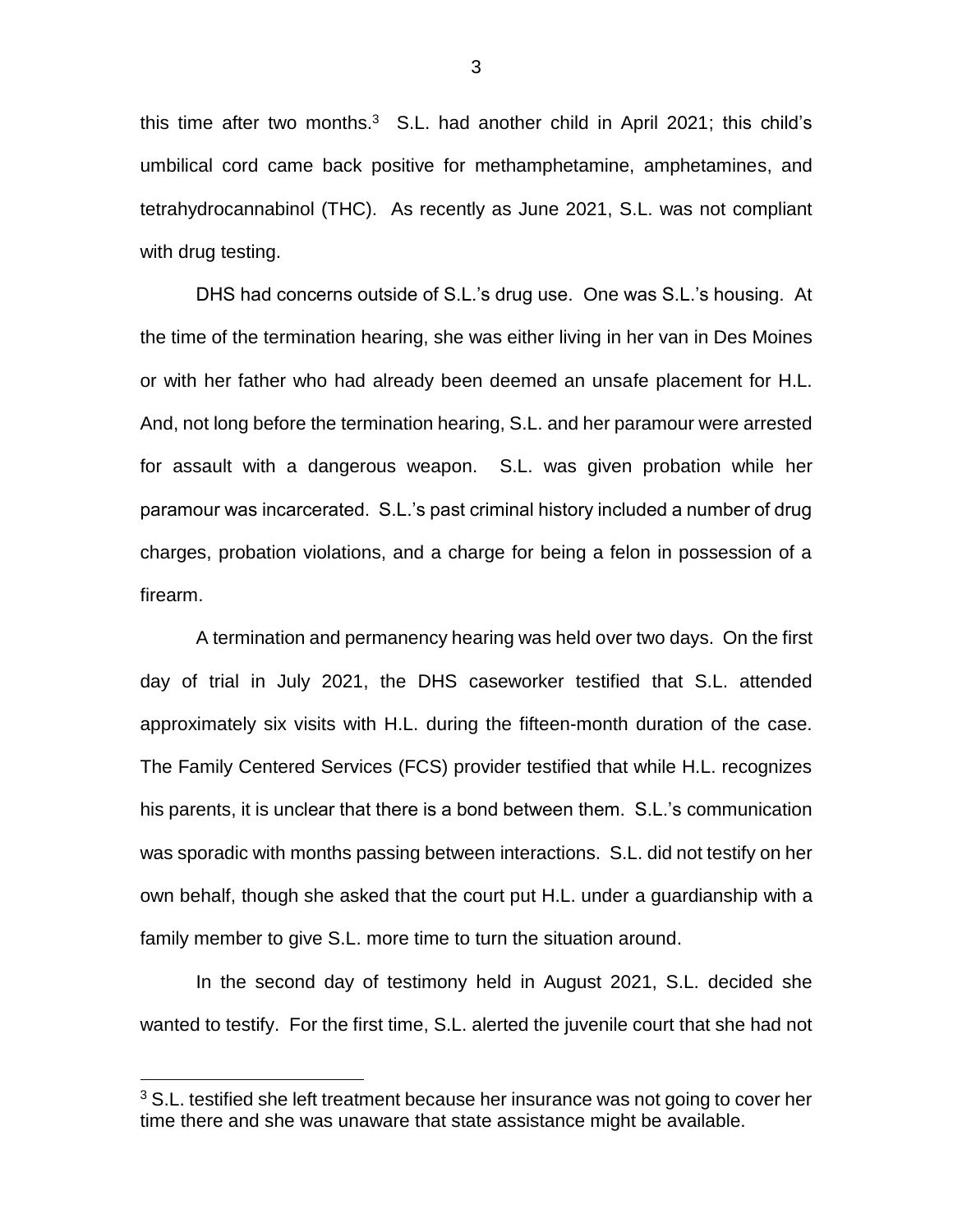this time after two months. $3$  S.L. had another child in April 2021; this child's umbilical cord came back positive for methamphetamine, amphetamines, and tetrahydrocannabinol (THC). As recently as June 2021, S.L. was not compliant with drug testing.

DHS had concerns outside of S.L.'s drug use. One was S.L.'s housing. At the time of the termination hearing, she was either living in her van in Des Moines or with her father who had already been deemed an unsafe placement for H.L. And, not long before the termination hearing, S.L. and her paramour were arrested for assault with a dangerous weapon. S.L. was given probation while her paramour was incarcerated. S.L.'s past criminal history included a number of drug charges, probation violations, and a charge for being a felon in possession of a firearm.

A termination and permanency hearing was held over two days. On the first day of trial in July 2021, the DHS caseworker testified that S.L. attended approximately six visits with H.L. during the fifteen-month duration of the case. The Family Centered Services (FCS) provider testified that while H.L. recognizes his parents, it is unclear that there is a bond between them. S.L.'s communication was sporadic with months passing between interactions. S.L. did not testify on her own behalf, though she asked that the court put H.L. under a guardianship with a family member to give S.L. more time to turn the situation around.

In the second day of testimony held in August 2021, S.L. decided she wanted to testify. For the first time, S.L. alerted the juvenile court that she had not

 $\overline{a}$ 

 $3$  S.L. testified she left treatment because her insurance was not going to cover her time there and she was unaware that state assistance might be available.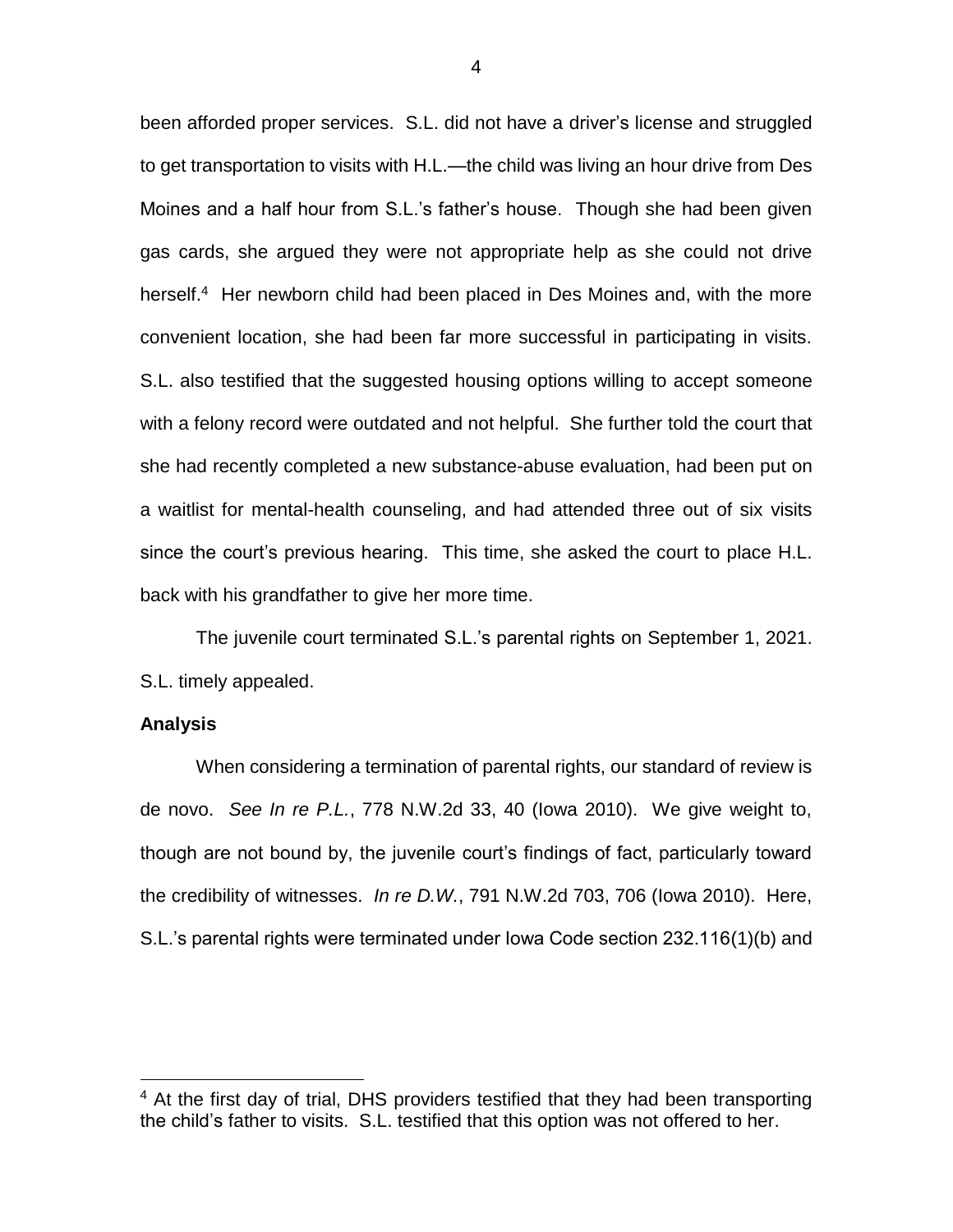been afforded proper services. S.L. did not have a driver's license and struggled to get transportation to visits with H.L.—the child was living an hour drive from Des Moines and a half hour from S.L.'s father's house. Though she had been given gas cards, she argued they were not appropriate help as she could not drive herself.<sup>4</sup> Her newborn child had been placed in Des Moines and, with the more convenient location, she had been far more successful in participating in visits. S.L. also testified that the suggested housing options willing to accept someone with a felony record were outdated and not helpful. She further told the court that she had recently completed a new substance-abuse evaluation, had been put on a waitlist for mental-health counseling, and had attended three out of six visits since the court's previous hearing. This time, she asked the court to place H.L. back with his grandfather to give her more time.

The juvenile court terminated S.L.'s parental rights on September 1, 2021. S.L. timely appealed.

### **Analysis**

 $\overline{a}$ 

When considering a termination of parental rights, our standard of review is de novo. *See In re P.L.*, 778 N.W.2d 33, 40 (Iowa 2010). We give weight to, though are not bound by, the juvenile court's findings of fact, particularly toward the credibility of witnesses. *In re D.W.*, 791 N.W.2d 703, 706 (Iowa 2010). Here, S.L.'s parental rights were terminated under Iowa Code section 232.116(1)(b) and

<sup>&</sup>lt;sup>4</sup> At the first day of trial, DHS providers testified that they had been transporting the child's father to visits. S.L. testified that this option was not offered to her.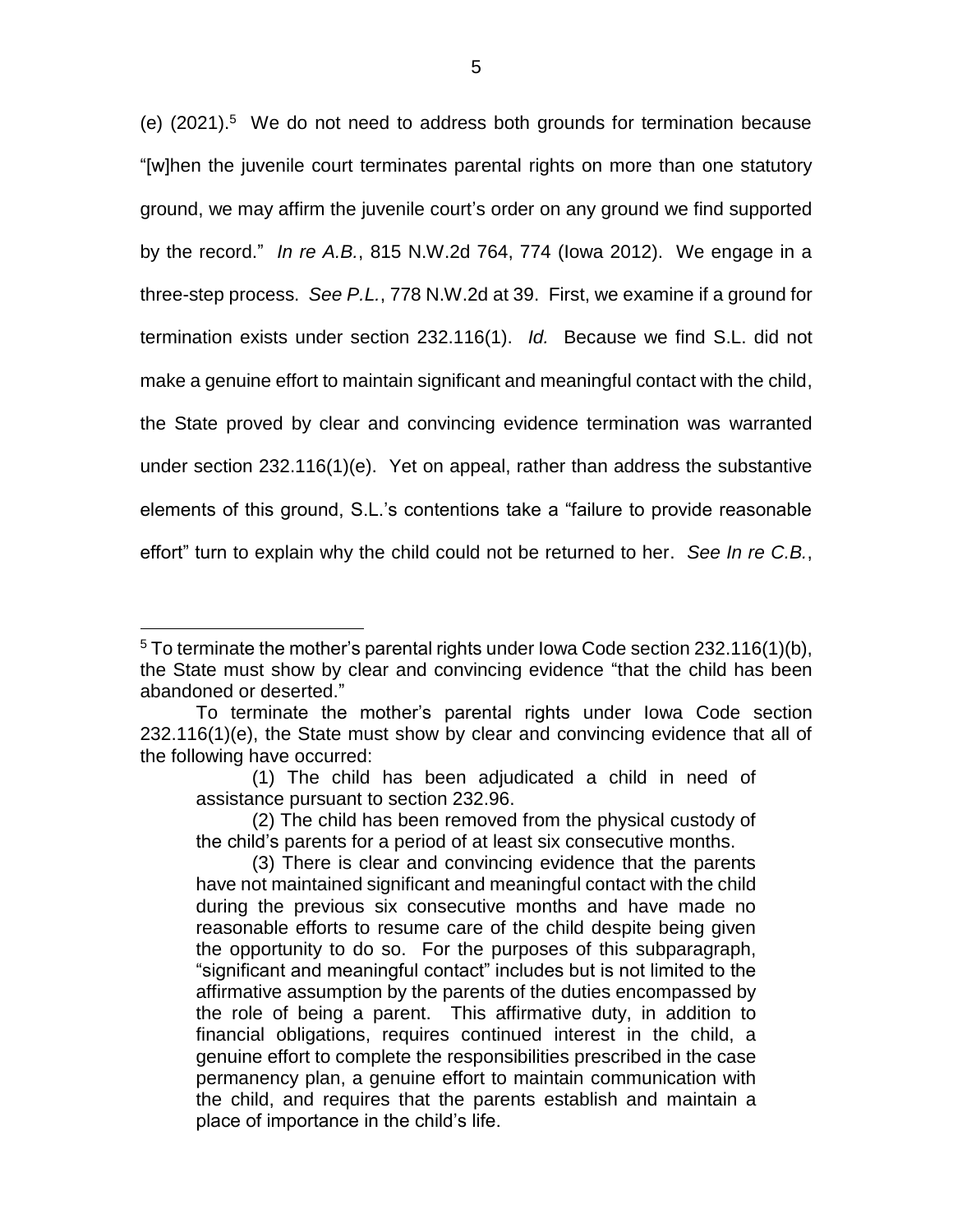(e)  $(2021).<sup>5</sup>$  We do not need to address both grounds for termination because "[w]hen the juvenile court terminates parental rights on more than one statutory ground, we may affirm the juvenile court's order on any ground we find supported by the record." *In re A.B.*, 815 N.W.2d 764, 774 (Iowa 2012). We engage in a three-step process. *See P.L.*, 778 N.W.2d at 39. First, we examine if a ground for termination exists under section 232.116(1). *Id.* Because we find S.L. did not make a genuine effort to maintain significant and meaningful contact with the child, the State proved by clear and convincing evidence termination was warranted under section 232.116(1)(e). Yet on appeal, rather than address the substantive elements of this ground, S.L.'s contentions take a "failure to provide reasonable effort" turn to explain why the child could not be returned to her. *See In re C.B.*,

 $\overline{a}$ 

 $5$  To terminate the mother's parental rights under lowa Code section 232.116(1)(b), the State must show by clear and convincing evidence "that the child has been abandoned or deserted."

To terminate the mother's parental rights under Iowa Code section 232.116(1)(e), the State must show by clear and convincing evidence that all of the following have occurred:

<sup>(1)</sup> The child has been adjudicated a child in need of assistance pursuant to section 232.96.

<sup>(2)</sup> The child has been removed from the physical custody of the child's parents for a period of at least six consecutive months.

<sup>(3)</sup> There is clear and convincing evidence that the parents have not maintained significant and meaningful contact with the child during the previous six consecutive months and have made no reasonable efforts to resume care of the child despite being given the opportunity to do so. For the purposes of this subparagraph, "significant and meaningful contact" includes but is not limited to the affirmative assumption by the parents of the duties encompassed by the role of being a parent. This affirmative duty, in addition to financial obligations, requires continued interest in the child, a genuine effort to complete the responsibilities prescribed in the case permanency plan, a genuine effort to maintain communication with the child, and requires that the parents establish and maintain a place of importance in the child's life.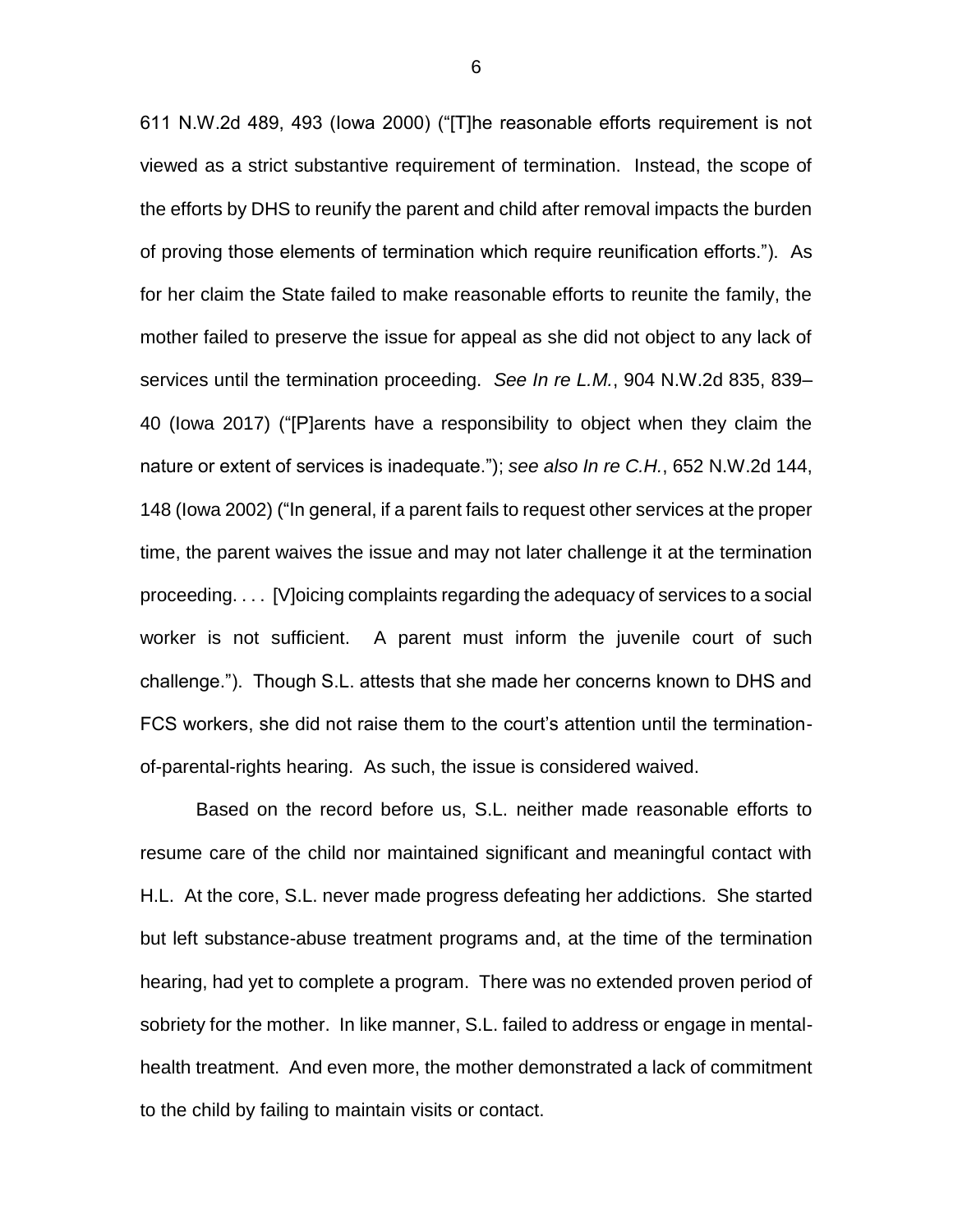611 N.W.2d 489, 493 (Iowa 2000) ("[T]he reasonable efforts requirement is not viewed as a strict substantive requirement of termination. Instead, the scope of the efforts by DHS to reunify the parent and child after removal impacts the burden of proving those elements of termination which require reunification efforts."). As for her claim the State failed to make reasonable efforts to reunite the family, the mother failed to preserve the issue for appeal as she did not object to any lack of services until the termination proceeding. *See In re L.M.*, 904 N.W.2d 835, 839– 40 (Iowa 2017) ("[P]arents have a responsibility to object when they claim the nature or extent of services is inadequate."); *see also In re C.H.*, 652 N.W.2d 144, 148 (Iowa 2002) ("In general, if a parent fails to request other services at the proper time, the parent waives the issue and may not later challenge it at the termination proceeding. . . . [V]oicing complaints regarding the adequacy of services to a social worker is not sufficient. A parent must inform the juvenile court of such challenge."). Though S.L. attests that she made her concerns known to DHS and FCS workers, she did not raise them to the court's attention until the terminationof-parental-rights hearing. As such, the issue is considered waived.

Based on the record before us, S.L. neither made reasonable efforts to resume care of the child nor maintained significant and meaningful contact with H.L. At the core, S.L. never made progress defeating her addictions. She started but left substance-abuse treatment programs and, at the time of the termination hearing, had yet to complete a program. There was no extended proven period of sobriety for the mother. In like manner, S.L. failed to address or engage in mentalhealth treatment. And even more, the mother demonstrated a lack of commitment to the child by failing to maintain visits or contact.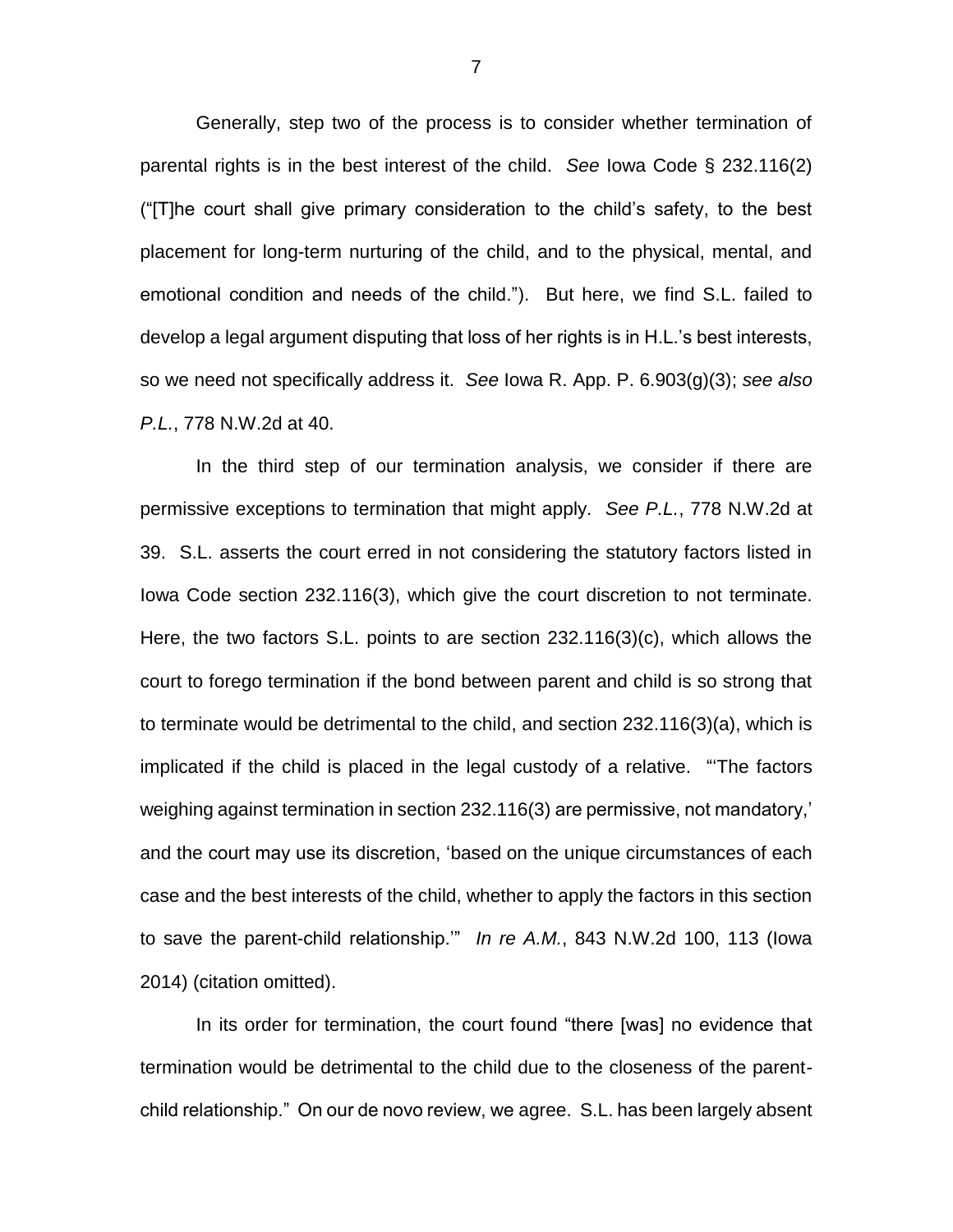Generally, step two of the process is to consider whether termination of parental rights is in the best interest of the child. *See* Iowa Code § 232.116(2) ("[T]he court shall give primary consideration to the child's safety, to the best placement for long-term nurturing of the child, and to the physical, mental, and emotional condition and needs of the child."). But here, we find S.L. failed to develop a legal argument disputing that loss of her rights is in H.L.'s best interests, so we need not specifically address it. *See* Iowa R. App. P. 6.903(g)(3); *see also P.L.*, 778 N.W.2d at 40.

In the third step of our termination analysis, we consider if there are permissive exceptions to termination that might apply. *See P.L.*, 778 N.W.2d at 39. S.L. asserts the court erred in not considering the statutory factors listed in Iowa Code section 232.116(3), which give the court discretion to not terminate. Here, the two factors S.L. points to are section 232.116(3)(c), which allows the court to forego termination if the bond between parent and child is so strong that to terminate would be detrimental to the child, and section 232.116(3)(a), which is implicated if the child is placed in the legal custody of a relative. "'The factors weighing against termination in section 232.116(3) are permissive, not mandatory,' and the court may use its discretion, 'based on the unique circumstances of each case and the best interests of the child, whether to apply the factors in this section to save the parent-child relationship.'" *In re A.M.*, 843 N.W.2d 100, 113 (Iowa 2014) (citation omitted).

In its order for termination, the court found "there [was] no evidence that termination would be detrimental to the child due to the closeness of the parentchild relationship." On our de novo review, we agree. S.L. has been largely absent

7